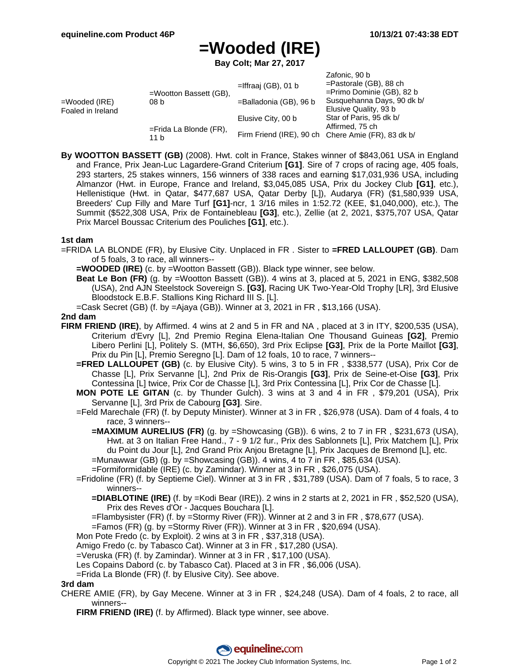Zafonic, 90 b

# **=Wooded (IRE)**

**Bay Colt; Mar 27, 2017**

|                                    |                                   |                                                    | Zalonic, 90 D                |
|------------------------------------|-----------------------------------|----------------------------------------------------|------------------------------|
| =Wooded (IRE)<br>Foaled in Ireland | $=$ Wootton Bassett (GB),<br>08 b | $=$ Iffraaj (GB), 01 b                             | $=$ Pastorale (GB), 88 ch    |
|                                    |                                   |                                                    | $=$ Primo Dominie (GB), 82 b |
|                                    |                                   | =Balladonia (GB), 96 b                             | Susquehanna Days, 90 dk b/   |
|                                    |                                   |                                                    | Elusive Quality, 93 b        |
|                                    |                                   | Elusive City, 00 b                                 | Star of Paris, 95 dk b/      |
|                                    | $=$ Frida La Blonde (FR),<br>11 h |                                                    | Affirmed, 75 ch              |
|                                    |                                   | Firm Friend (IRE), 90 ch Chere Amie (FR), 83 dk b/ |                              |
|                                    |                                   |                                                    |                              |

**By WOOTTON BASSETT (GB)** (2008). Hwt. colt in France, Stakes winner of \$843,061 USA in England and France, Prix Jean-Luc Lagardere-Grand Criterium **[G1]**. Sire of 7 crops of racing age, 405 foals, 293 starters, 25 stakes winners, 156 winners of 338 races and earning \$17,031,936 USA, including Almanzor (Hwt. in Europe, France and Ireland, \$3,045,085 USA, Prix du Jockey Club **[G1]**, etc.), Hellenistique (Hwt. in Qatar, \$477,687 USA, Qatar Derby [L]), Audarya (FR) (\$1,580,939 USA, Breeders' Cup Filly and Mare Turf **[G1]**-ncr, 1 3/16 miles in 1:52.72 (KEE, \$1,040,000), etc.), The Summit (\$522,308 USA, Prix de Fontainebleau **[G3]**, etc.), Zellie (at 2, 2021, \$375,707 USA, Qatar Prix Marcel Boussac Criterium des Pouliches **[G1]**, etc.).

### **1st dam**

=FRIDA LA BLONDE (FR), by Elusive City. Unplaced in FR . Sister to **=FRED LALLOUPET (GB)**. Dam of 5 foals, 3 to race, all winners--

**=WOODED (IRE)** (c. by =Wootton Bassett (GB)). Black type winner, see below.

- **Beat Le Bon (FR)** (g. by =Wootton Bassett (GB)). 4 wins at 3, placed at 5, 2021 in ENG, \$382,508 (USA), 2nd AJN Steelstock Sovereign S. **[G3]**, Racing UK Two-Year-Old Trophy [LR], 3rd Elusive Bloodstock E.B.F. Stallions King Richard III S. [L].
- =Cask Secret (GB) (f. by =Ajaya (GB)). Winner at 3, 2021 in FR , \$13,166 (USA).

#### **2nd dam**

- **FIRM FRIEND (IRE)**, by Affirmed. 4 wins at 2 and 5 in FR and NA , placed at 3 in ITY, \$200,535 (USA), Criterium d'Evry [L], 2nd Premio Regina Elena-Italian One Thousand Guineas **[G2]**, Premio Libero Perlini [L], Politely S. (MTH, \$6,650), 3rd Prix Eclipse **[G3]**, Prix de la Porte Maillot **[G3]**, Prix du Pin [L], Premio Seregno [L]. Dam of 12 foals, 10 to race, 7 winners--
	- **=FRED LALLOUPET (GB)** (c. by Elusive City). 5 wins, 3 to 5 in FR , \$338,577 (USA), Prix Cor de Chasse [L], Prix Servanne [L], 2nd Prix de Ris-Orangis **[G3]**, Prix de Seine-et-Oise **[G3]**, Prix Contessina [L] twice, Prix Cor de Chasse [L], 3rd Prix Contessina [L], Prix Cor de Chasse [L].
	- **MON POTE LE GITAN** (c. by Thunder Gulch). 3 wins at 3 and 4 in FR , \$79,201 (USA), Prix Servanne [L], 3rd Prix de Cabourg **[G3]**. Sire.
	- =Feld Marechale (FR) (f. by Deputy Minister). Winner at 3 in FR , \$26,978 (USA). Dam of 4 foals, 4 to race, 3 winners--
		- **=MAXIMUM AURELIUS (FR)** (g. by =Showcasing (GB)). 6 wins, 2 to 7 in FR, \$231,673 (USA), Hwt. at 3 on Italian Free Hand., 7 - 9 1/2 fur., Prix des Sablonnets [L], Prix Matchem [L], Prix du Point du Jour [L], 2nd Grand Prix Anjou Bretagne [L], Prix Jacques de Bremond [L], etc. =Munawwar (GB) (g. by =Showcasing (GB)). 4 wins, 4 to 7 in FR , \$85,634 (USA).
		- =Formiformidable (IRE) (c. by Zamindar). Winner at 3 in FR , \$26,075 (USA).
	- =Fridoline (FR) (f. by Septieme Ciel). Winner at 3 in FR , \$31,789 (USA). Dam of 7 foals, 5 to race, 3 winners--
		- **=DIABLOTINE (IRE)** (f. by =Kodi Bear (IRE)). 2 wins in 2 starts at 2, 2021 in FR , \$52,520 (USA), Prix des Reves d'Or - Jacques Bouchara [L].
		- =Flambysister (FR) (f. by =Stormy River (FR)). Winner at 2 and 3 in FR , \$78,677 (USA).
		- =Famos (FR) (g. by =Stormy River (FR)). Winner at 3 in FR , \$20,694 (USA).
	- Mon Pote Fredo (c. by Exploit). 2 wins at 3 in FR , \$37,318 (USA).
	- Amigo Fredo (c. by Tabasco Cat). Winner at 3 in FR , \$17,280 (USA).
	- =Veruska (FR) (f. by Zamindar). Winner at 3 in FR , \$17,100 (USA).
	- Les Copains Dabord (c. by Tabasco Cat). Placed at 3 in FR , \$6,006 (USA).
	- =Frida La Blonde (FR) (f. by Elusive City). See above.

#### **3rd dam**

- CHERE AMIE (FR), by Gay Mecene. Winner at 3 in FR , \$24,248 (USA). Dam of 4 foals, 2 to race, all winners--
	- **FIRM FRIEND (IRE)** (f. by Affirmed). Black type winner, see above.